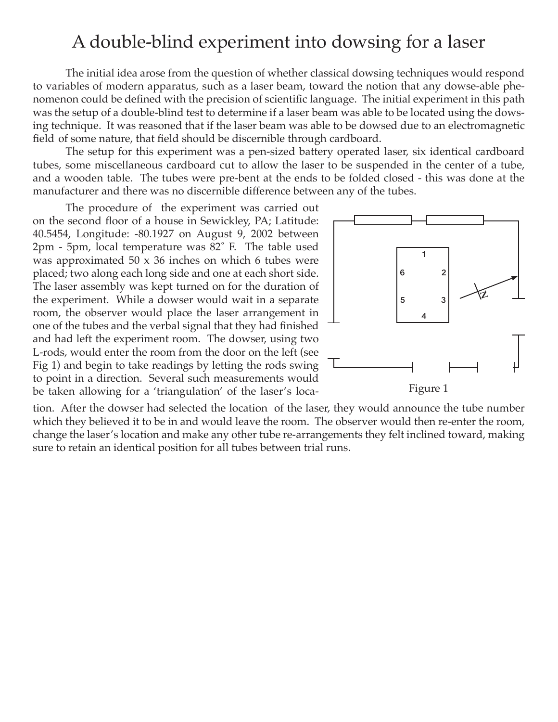## A double-blind experiment into dowsing for a laser

The initial idea arose from the question of whether classical dowsing techniques would respond to variables of modern apparatus, such as a laser beam, toward the notion that any dowse-able phenomenon could be defined with the precision of scientific language. The initial experiment in this path was the setup of a double-blind test to determine if a laser beam was able to be located using the dowsing technique. It was reasoned that if the laser beam was able to be dowsed due to an electromagnetic field of some nature, that field should be discernible through cardboard.

The setup for this experiment was a pen-sized battery operated laser, six identical cardboard tubes, some miscellaneous cardboard cut to allow the laser to be suspended in the center of a tube, and a wooden table. The tubes were pre-bent at the ends to be folded closed - this was done at the manufacturer and there was no discernible difference between any of the tubes.

The procedure of the experiment was carried out on the second floor of a house in Sewickley, PA; Latitude: 40.5454, Longitude: -80.1927 on August 9, 2002 between 2pm - 5pm, local temperature was 82˚ F. The table used was approximated 50 x 36 inches on which 6 tubes were placed; two along each long side and one at each short side. The laser assembly was kept turned on for the duration of the experiment. While a dowser would wait in a separate room, the observer would place the laser arrangement in one of the tubes and the verbal signal that they had finished and had left the experiment room. The dowser, using two L-rods, would enter the room from the door on the left (see Fig 1) and begin to take readings by letting the rods swing to point in a direction. Several such measurements would be taken allowing for a 'triangulation' of the laser's loca- Figure 1



tion. After the dowser had selected the location of the laser, they would announce the tube number which they believed it to be in and would leave the room. The observer would then re-enter the room, change the laser's location and make any other tube re-arrangements they felt inclined toward, making sure to retain an identical position for all tubes between trial runs.